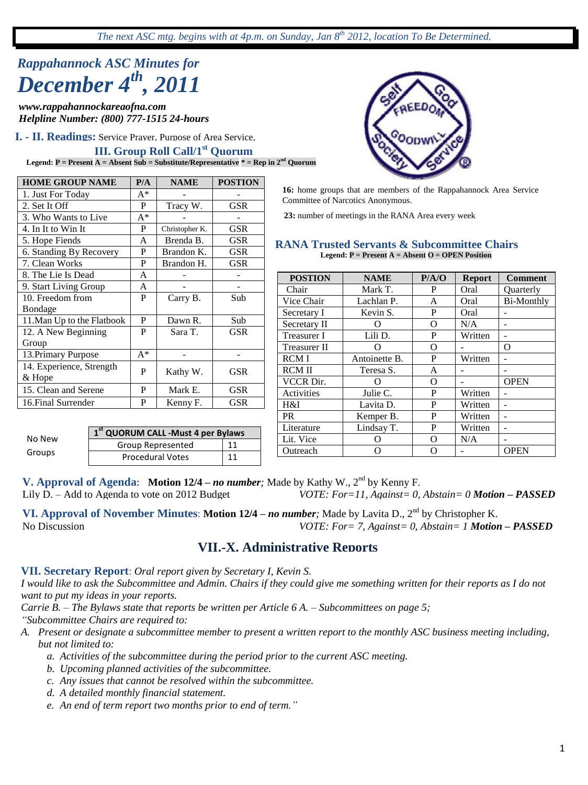*The next ASC mtg. begins with at 4p.m. on Sunday, Jan 8th 2012, location To Be Determined.*

# *Rappahannock ASC Minutes for December 4th, 2011*

*www.rappahannockareaofna.com Helpline Number: (800) 777-1515 24-hours*

**I. - II. Readings:** Service Prayer, Purpose of Area Service,

# **III. Group Roll Call/1<sup>st</sup> Quorum**

**Legend: P = Present A = Absent Sub = Substitute/Representative \* = Rep in 2nd Quorum**

| <b>HOME GROUP NAME</b>     | P/A   | <b>NAME</b>    | <b>POSTION</b> |  |  |
|----------------------------|-------|----------------|----------------|--|--|
| 1. Just For Today          | $A^*$ |                |                |  |  |
| 2. Set It Off              | P     | Tracy W.       | <b>GSR</b>     |  |  |
| 3. Who Wants to Live       | $A^*$ |                |                |  |  |
| 4. In It to Win It         | P     | Christopher K. | GSR            |  |  |
| 5. Hope Fiends             | A     | Brenda B.      | GSR            |  |  |
| 6. Standing By Recovery    | P     | Brandon K.     | GSR            |  |  |
| 7. Clean Works             | P     | Brandon H.     | GSR            |  |  |
| 8. The Lie Is Dead         | A     |                |                |  |  |
| 9. Start Living Group      | A     |                |                |  |  |
| 10. Freedom from           | P     | Carry B.       | Sub            |  |  |
| <b>Bondage</b>             |       |                |                |  |  |
| 11. Man Up to the Flatbook | P     | Dawn R.        | Sub            |  |  |
| 12. A New Beginning        | P     | Sara T.        | GSR            |  |  |
| Group                      |       |                |                |  |  |
| 13. Primary Purpose        | $A^*$ |                |                |  |  |
| 14. Experience, Strength   | P     | Kathy W.       | GSR            |  |  |
| & Hope                     |       |                |                |  |  |
| 15. Clean and Serene       | P     | Mark E.        | GSR            |  |  |
| 16. Final Surrender        | P     | Kenny F.       | GSR            |  |  |



**16:** home groups that are members of the Rappahannock Area Service Committee of Narcotics Anonymous.

**23:** number of meetings in the RANA Area every week

#### **RANA Trusted Servants & Subcommittee Chairs Legend: P = Present A = Absent O = OPEN Position**

| <b>POSTION</b>      | <b>NAME</b>   | P/A/O | <b>Report</b> | <b>Comment</b>    |
|---------------------|---------------|-------|---------------|-------------------|
| Chair               | Mark T.       | P     | Oral          | <b>Ouarterly</b>  |
| Vice Chair          | Lachlan P.    | A     | Oral          | <b>Bi-Monthly</b> |
| Secretary I         | Kevin S.      | P     | Oral          |                   |
| Secretary II        |               | Ω     | N/A           |                   |
| <b>Treasurer I</b>  | Lili D.       | P     | Written       |                   |
| <b>Treasurer II</b> | 0             | O     |               | O                 |
| <b>RCMI</b>         | Antoinette B. | P     | Written       |                   |
| <b>RCMII</b>        | Teresa S.     | A     |               |                   |
| <b>VCCR Dir.</b>    | ( )           | Ω     |               | <b>OPEN</b>       |
| Activities          | Julie C.      | P     | Written       |                   |
| H&I                 | Lavita D.     | P     | Written       |                   |
| <b>PR</b>           | Kemper B.     | P     | Written       |                   |
| Literature          | Lindsay T.    | P     | Written       |                   |
| Lit. Vice           | 0             | Ω     | N/A           |                   |
| Outreach            | ∩             | Ω     |               | <b>OPEN</b>       |

**1 st QUORUM CALL -Must 4 per Bylaws** Group Represented 11 Procedural Votes 11 No New Groups

**V. Approval of Agenda: Motion 12/4** – *no number*; Made by Kathy W., 2<sup>nd</sup> by Kenny F. Lily D. – Add to Agenda to vote on 2012 Budget *VOTE: For=11, Against= 0,* Lily D. – Add to Agenda to vote on 2012 Budget *VOTE: For=11, Against= 0, Abstain= 0 Motion – PASSED*

VI. Approval of November Minutes: Motion 12/4 – *no number*; Made by Lavita D., 2<sup>nd</sup> by Christopher K.<br>No Discussion **PASSED** *VOTE: For= 7. Against= 0. Abstain= 1 Motion VOTE: For= 7, Against= 0, Abstain= 1 <i>Motion – PASSED* 

# **VII.-X. Administrative Reports**

**VII. Secretary Report**: *Oral report given by Secretary I, Kevin S.*

*I would like to ask the Subcommittee and Admin. Chairs if they could give me something written for their reports as I do not want to put my ideas in your reports.*

*Carrie B. – The Bylaws state that reports be written per Article 6 A. – Subcommittees on page 5; "Subcommittee Chairs are required to:*

- *A. Present or designate a subcommittee member to present a written report to the monthly ASC business meeting including, but not limited to:*
	- *a. Activities of the subcommittee during the period prior to the current ASC meeting.*
	- *b. Upcoming planned activities of the subcommittee.*
	- *c. Any issues that cannot be resolved within the subcommittee.*
	- *d. A detailed monthly financial statement.*
	- *e. An end of term report two months prior to end of term."*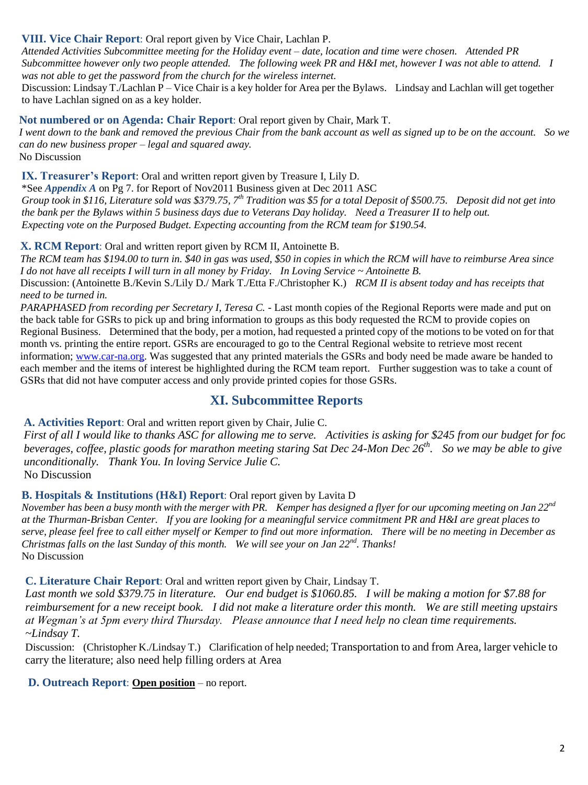### **VIII. Vice Chair Report**: Oral report given by Vice Chair, Lachlan P.

*Attended Activities Subcommittee meeting for the Holiday event – date, location and time were chosen. Attended PR Subcommittee however only two people attended. The following week PR and H&I met, however I was not able to attend. I was not able to get the password from the church for the wireless internet.*

Discussion: Lindsay T./Lachlan P – Vice Chair is a key holder for Area per the Bylaws. Lindsay and Lachlan will get together to have Lachlan signed on as a key holder.

**Not numbered or on Agenda: Chair Report**: Oral report given by Chair, Mark T.

*I went down to the bank and removed the previous Chair from the bank account as well as signed up to be on the account. So we can do new business proper – legal and squared away.*

No Discussion

**IX. Treasurer's Report**: Oral and written report given by Treasure I, Lily D.

\*See *Appendix A* on Pg 7. for Report of Nov2011 Business given at Dec 2011 ASC

*Group took in \$116, Literature sold was \$379.75, 7th Tradition was \$5 for a total Deposit of \$500.75. Deposit did not get into the bank per the Bylaws within 5 business days due to Veterans Day holiday. Need a Treasurer II to help out. Expecting vote on the Purposed Budget. Expecting accounting from the RCM team for \$190.54.*

**X. RCM Report**: Oral and written report given by RCM II, Antoinette B.

*The RCM team has \$194.00 to turn in. \$40 in gas was used, \$50 in copies in which the RCM will have to reimburse Area since I do not have all receipts I will turn in all money by Friday. In Loving Service ~ Antoinette B.*

Discussion: (Antoinette B./Kevin S./Lily D./ Mark T./Etta F./Christopher K.) *RCM II is absent today and has receipts that need to be turned in.*

*PARAPHASED from recording per Secretary I, Teresa C. -* Last month copies of the Regional Reports were made and put on the back table for GSRs to pick up and bring information to groups as this body requested the RCM to provide copies on Regional Business. Determined that the body, per a motion, had requested a printed copy of the motions to be voted on for that month vs. printing the entire report. GSRs are encouraged to go to the Central Regional website to retrieve most recent information; [www.car-na.org.](http://www.car-na.org/) Was suggested that any printed materials the GSRs and body need be made aware be handed to each member and the items of interest be highlighted during the RCM team report. Further suggestion was to take a count of GSRs that did not have computer access and only provide printed copies for those GSRs.

# **XI. Subcommittee Reports**

**A. Activities Report**: Oral and written report given by Chair, Julie C.

*First of all I would like to thanks ASC for allowing me to serve. Activities is asking for \$245 from our budget for foc beverages, coffee, plastic goods for marathon meeting staring Sat Dec 24-Mon Dec 26<sup>th</sup>. So we may be able to give unconditionally. Thank You. In loving Service Julie C.*

No Discussion

### **B. Hospitals & Institutions (H&I) Report**: Oral report given by Lavita D

*November has been a busy month with the merger with PR. Kemper has designed a flyer for our upcoming meeting on Jan 22nd at the Thurman-Brisban Center. If you are looking for a meaningful service commitment PR and H&I are great places to serve, please feel free to call either myself or Kemper to find out more information. There will be no meeting in December as Christmas falls on the last Sunday of this month. We will see your on Jan 22nd. Thanks!* No Discussion

### **C. Literature Chair Report**: Oral and written report given by Chair, Lindsay T.

*Last month we sold \$379.75 in literature. Our end budget is \$1060.85. I will be making a motion for \$7.88 for reimbursement for a new receipt book. I did not make a literature order this month. We are still meeting upstairs at Wegman"s at 5pm every third Thursday. Please announce that I need help no clean time requirements. ~Lindsay T.*

Discussion: (Christopher K./Lindsay T.) Clarification of help needed; Transportation to and from Area, larger vehicle to carry the literature; also need help filling orders at Area

### **D. Outreach Report**: **Open position** – no report.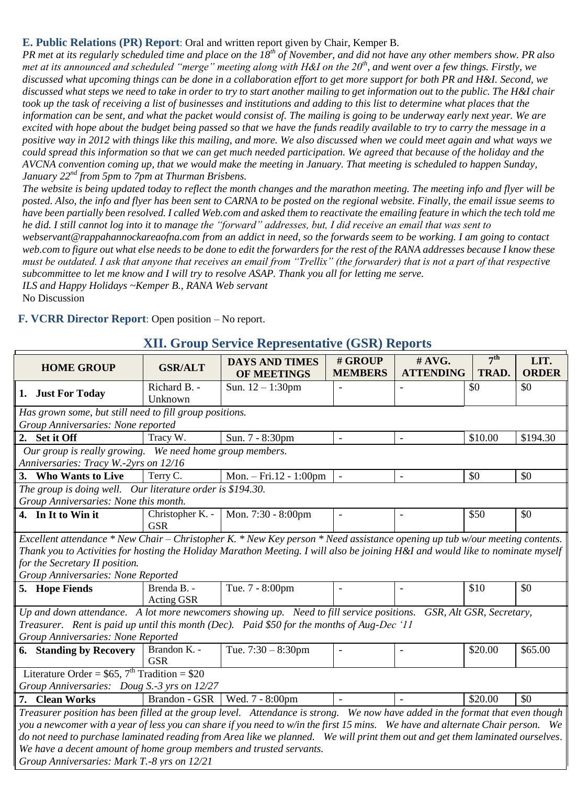### **E. Public Relations (PR) Report**: Oral and written report given by Chair, Kemper B.

*PR met at its regularly scheduled time and place on the 18th of November, and did not have any other members show. PR also met at its announced and scheduled "merge" meeting along with H&I on the 20th, and went over a few things. Firstly, we discussed what upcoming things can be done in a collaboration effort to get more support for both PR and H&I. Second, we discussed what steps we need to take in order to try to start another mailing to get information out to the public. The H&I chair took up the task of receiving a list of businesses and institutions and adding to this list to determine what places that the information can be sent, and what the packet would consist of. The mailing is going to be underway early next year. We are excited with hope about the budget being passed so that we have the funds readily available to try to carry the message in a positive way in 2012 with things like this mailing, and more. We also discussed when we could meet again and what ways we could spread this information so that we can get much needed participation. We agreed that because of the holiday and the AVCNA convention coming up, that we would make the meeting in January. That meeting is scheduled to happen Sunday, January 22nd from 5pm to 7pm at Thurman Brisbens.*

*The website is being updated today to reflect the month changes and the marathon meeting. The meeting info and flyer will be posted. Also, the info and flyer has been sent to CARNA to be posted on the regional website. Finally, the email issue seems to have been partially been resolved. I called Web.com and asked them to reactivate the emailing feature in which the tech told me he did. I still cannot log into it to manage the "forward" addresses, but, I did receive an email that was sent to webservant@rappahannockareaofna.com from an addict in need, so the forwards seem to be working. I am going to contact web.com to figure out what else needs to be done to edit the forwarders for the rest of the RANA addresses because I know these* 

*must be outdated. I ask that anyone that receives an email from "Trellix" (the forwarder) that is not a part of that respective subcommittee to let me know and I will try to resolve ASAP. Thank you all for letting me serve.*

*ILS and Happy Holidays ~Kemper B., RANA Web servant* No Discussion

**F. VCRR Director Report**: Open position – No report.

| <b>HOME GROUP</b>                                                                                                              | <b>GSR/ALT</b>                 | <b>DAYS AND TIMES</b><br><b>OF MEETINGS</b> | # GROUP<br><b>MEMBERS</b> | # AVG.<br><b>ATTENDING</b> | 7 <sup>th</sup><br>TRAD. | LIT.<br><b>ORDER</b> |  |
|--------------------------------------------------------------------------------------------------------------------------------|--------------------------------|---------------------------------------------|---------------------------|----------------------------|--------------------------|----------------------|--|
| 1. Just For Today                                                                                                              | Richard B. -<br>Unknown        | Sun. $12 - 1:30$ pm                         | $\blacksquare$            |                            | \$0                      | \$0                  |  |
| Has grown some, but still need to fill group positions.                                                                        |                                |                                             |                           |                            |                          |                      |  |
| Group Anniversaries: None reported                                                                                             |                                |                                             |                           |                            |                          |                      |  |
| 2. Set it Off                                                                                                                  | Tracy W.                       | Sun. 7 - 8:30pm                             | $\sim$                    | $\overline{\phantom{a}}$   | \$10.00                  | \$194.30             |  |
| Our group is really growing. We need home group members.                                                                       |                                |                                             |                           |                            |                          |                      |  |
| Anniversaries: Tracy W.-2yrs on 12/16                                                                                          |                                |                                             |                           |                            |                          |                      |  |
| 3. Who Wants to Live                                                                                                           | Terry C.                       | Mon. $-$ Fri. 12 - 1:00pm                   | $\overline{\phantom{a}}$  | $\overline{\phantom{a}}$   | \$0                      | \$0                  |  |
| The group is doing well. Our literature order is \$194.30.                                                                     |                                |                                             |                           |                            |                          |                      |  |
| Group Anniversaries: None this month.                                                                                          |                                |                                             |                           |                            |                          |                      |  |
| 4. In It to Win it                                                                                                             | Christopher K. -<br><b>GSR</b> | Mon. 7:30 - 8:00pm                          | $\blacksquare$            |                            | \$50                     | \$0                  |  |
| Excellent attendance * New Chair – Christopher K. * New Key person * Need assistance opening up tub w/our meeting contents.    |                                |                                             |                           |                            |                          |                      |  |
| Thank you to Activities for hosting the Holiday Marathon Meeting. I will also be joining H&I and would like to nominate myself |                                |                                             |                           |                            |                          |                      |  |
| for the Secretary II position.                                                                                                 |                                |                                             |                           |                            |                          |                      |  |
| Group Anniversaries: None Reported                                                                                             |                                |                                             |                           |                            |                          |                      |  |
| 5. Hope Fiends                                                                                                                 | Brenda B. -<br>Acting GSR      | Tue. 7 - 8:00pm                             | $\equiv$                  |                            | \$10                     | \$0                  |  |
| Up and down attendance. A lot more newcomers showing up. Need to fill service positions.                                       |                                |                                             |                           |                            | GSR, Alt GSR, Secretary, |                      |  |
| Treasurer. Rent is paid up until this month (Dec). Paid \$50 for the months of Aug-Dec '11                                     |                                |                                             |                           |                            |                          |                      |  |
| Group Anniversaries: None Reported                                                                                             |                                |                                             |                           |                            |                          |                      |  |
| <b>6.</b> Standing by Recovery                                                                                                 | Brandon K. -<br><b>GSR</b>     | Tue. $7:30 - 8:30$ pm                       |                           |                            | \$20.00                  | \$65.00              |  |
| Literature Order = $$65, 7th Tradition = $20$                                                                                  |                                |                                             |                           |                            |                          |                      |  |
| Group Anniversaries: Doug S.-3 yrs on 12/27                                                                                    |                                |                                             |                           |                            |                          |                      |  |
| 7. Clean Works                                                                                                                 | Brandon - GSR                  | Wed. 7 - 8:00pm                             | $\overline{\phantom{a}}$  |                            | \$20.00                  | \$0                  |  |
| Treasurer position has been filled at the group level. Attendance is strong. We now have added in the format that even though  |                                |                                             |                           |                            |                          |                      |  |
| you a newcomer with a year of less you can share if you need to w/in the first 15 mins. We have and alternate Chair person. We |                                |                                             |                           |                            |                          |                      |  |
| do not need to purchase laminated reading from Area like we planned. We will print them out and get them laminated ourselves.  |                                |                                             |                           |                            |                          |                      |  |
| We have a decent amount of home group members and trusted servants.                                                            |                                |                                             |                           |                            |                          |                      |  |
| Group Anniversaries: Mark T.-8 yrs on 12/21                                                                                    |                                |                                             |                           |                            |                          |                      |  |

### **XII. Group Service Representative (GSR) Reports**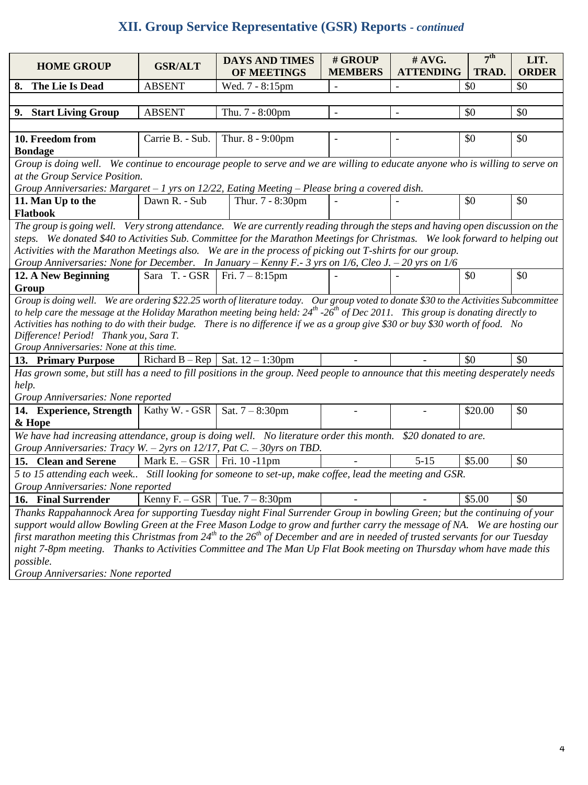# **XII. Group Service Representative (GSR) Reports** *- continued*

|                                                                                                                                                  |                   |                                      | # GROUP                  | #AVG.            | 7 <sup>th</sup> | LIT.         |
|--------------------------------------------------------------------------------------------------------------------------------------------------|-------------------|--------------------------------------|--------------------------|------------------|-----------------|--------------|
| <b>HOME GROUP</b>                                                                                                                                | <b>GSR/ALT</b>    | <b>DAYS AND TIMES</b><br>OF MEETINGS | <b>MEMBERS</b>           | <b>ATTENDING</b> | TRAD.           | <b>ORDER</b> |
| 8. The Lie Is Dead                                                                                                                               | <b>ABSENT</b>     | Wed. 7 - 8:15pm                      | $\overline{\phantom{a}}$ |                  | \$0             | \$0          |
|                                                                                                                                                  |                   |                                      |                          |                  |                 |              |
| 9. Start Living Group                                                                                                                            | <b>ABSENT</b>     | Thu. 7 - 8:00pm                      | $\overline{\phantom{a}}$ |                  | \$0             | \$0          |
|                                                                                                                                                  |                   |                                      |                          |                  |                 |              |
| 10. Freedom from                                                                                                                                 | Carrie B. - Sub.  | Thur. 8 - 9:00pm                     | $\overline{\phantom{a}}$ | $\overline{a}$   | \$0             | \$0          |
| <b>Bondage</b>                                                                                                                                   |                   |                                      |                          |                  |                 |              |
| Group is doing well. We continue to encourage people to serve and we are willing to educate anyone who is willing to serve on                    |                   |                                      |                          |                  |                 |              |
| at the Group Service Position.                                                                                                                   |                   |                                      |                          |                  |                 |              |
| Group Anniversaries: Margaret $-1$ yrs on 12/22, Eating Meeting $-$ Please bring a covered dish.                                                 |                   |                                      |                          |                  |                 |              |
| 11. Man Up to the                                                                                                                                | Dawn R. - Sub     | Thur. 7 - 8:30pm                     |                          |                  | \$0             | \$0          |
| Flatbook                                                                                                                                         |                   |                                      |                          |                  |                 |              |
| The group is going well. Very strong attendance. We are currently reading through the steps and having open discussion on the                    |                   |                                      |                          |                  |                 |              |
| steps. We donated \$40 to Activities Sub. Committee for the Marathon Meetings for Christmas. We look forward to helping out                      |                   |                                      |                          |                  |                 |              |
| Activities with the Marathon Meetings also. We are in the process of picking out T-shirts for our group.                                         |                   |                                      |                          |                  |                 |              |
| Group Anniversaries: None for December. In January – Kenny F.- 3 yrs on 1/6, Cleo J. – 20 yrs on 1/6                                             |                   |                                      |                          |                  |                 |              |
| 12. A New Beginning                                                                                                                              | Sara T. - GSR     | Fri. $7 - 8:15$ pm                   |                          |                  | \$0             | \$0          |
| Group                                                                                                                                            |                   |                                      |                          |                  |                 |              |
| Group is doing well. We are ordering \$22.25 worth of literature today. Our group voted to donate \$30 to the Activities Subcommittee            |                   |                                      |                          |                  |                 |              |
| to help care the message at the Holiday Marathon meeting being held: $24^{th}$ -26 <sup>th</sup> of Dec 2011. This group is donating directly to |                   |                                      |                          |                  |                 |              |
| Activities has nothing to do with their budge. There is no difference if we as a group give \$30 or buy \$30 worth of food. No                   |                   |                                      |                          |                  |                 |              |
| Difference! Period! Thank you, Sara T.                                                                                                           |                   |                                      |                          |                  |                 |              |
| Group Anniversaries: None at this time.                                                                                                          |                   |                                      |                          |                  |                 |              |
| 13. Primary Purpose                                                                                                                              | Richard $B - Rep$ | Sat. 12 - 1:30pm                     |                          |                  | \$0             | \$0          |
| Has grown some, but still has a need to fill positions in the group. Need people to announce that this meeting desperately needs                 |                   |                                      |                          |                  |                 |              |
| help.                                                                                                                                            |                   |                                      |                          |                  |                 |              |
| Group Anniversaries: None reported                                                                                                               |                   |                                      |                          |                  |                 |              |
| 14. Experience, Strength                                                                                                                         | Kathy W. - GSR    | Sat. $7 - 8:30 \text{pm}$            | $\overline{\phantom{a}}$ |                  | \$20.00         | \$0          |
| & Hope                                                                                                                                           |                   |                                      |                          |                  |                 |              |
| We have had increasing attendance, group is doing well. No literature order this month. \$20 donated to are.                                     |                   |                                      |                          |                  |                 |              |
| Group Anniversaries: Tracy W. - 2yrs on 12/17, Pat C. - 30yrs on TBD.                                                                            |                   |                                      |                          |                  |                 |              |
| 15. Clean and Serene                                                                                                                             | Mark $E. - GSR$   | Fri. 10 -11pm                        |                          | $5 - 15$         | \$5.00          | \$0          |
| 5 to 15 attending each week Still looking for someone to set-up, make coffee, lead the meeting and GSR.                                          |                   |                                      |                          |                  |                 |              |
| Group Anniversaries: None reported                                                                                                               |                   |                                      |                          |                  |                 |              |
| 16. Final Surrender                                                                                                                              | Kenny $F. - GSR$  | Tue. $7 - 8:30$ pm                   |                          |                  | \$5.00          | \$0          |
| Thanks Rappahannock Area for supporting Tuesday night Final Surrender Group in bowling Green; but the continuing of your                         |                   |                                      |                          |                  |                 |              |
| support would allow Bowling Green at the Free Mason Lodge to grow and further carry the message of NA. We are hosting our                        |                   |                                      |                          |                  |                 |              |
| first marathon meeting this Christmas from $24^{th}$ to the $26^{th}$ of December and are in needed of trusted servants for our Tuesday          |                   |                                      |                          |                  |                 |              |
| night 7-8pm meeting. Thanks to Activities Committee and The Man Up Flat Book meeting on Thursday whom have made this                             |                   |                                      |                          |                  |                 |              |
| possible.                                                                                                                                        |                   |                                      |                          |                  |                 |              |
| Group Anniversaries: None reported                                                                                                               |                   |                                      |                          |                  |                 |              |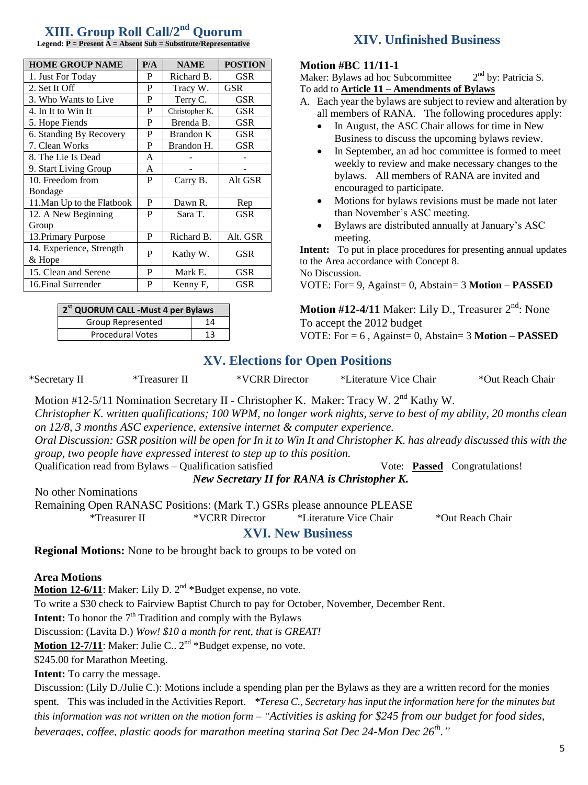# **XIII. Group Roll Call/2nd Quorum**

| <b>HOME GROUP NAME</b>     | P/A | <b>NAME</b>      | <b>POSTION</b> |  |  |
|----------------------------|-----|------------------|----------------|--|--|
| 1. Just For Today          | P   | Richard B.       | <b>GSR</b>     |  |  |
| 2. Set It Off              | P   | Tracy W.         | GSR            |  |  |
| 3. Who Wants to Live       | P   | Terry C.         | <b>GSR</b>     |  |  |
| 4. In It to Win It         | P   | Christopher K.   | GSR            |  |  |
| 5. Hope Fiends             | P   | Brenda B.        | <b>GSR</b>     |  |  |
| 6. Standing By Recovery    | P   | <b>Brandon K</b> | GSR            |  |  |
| 7. Clean Works             | P   | Brandon H.       | <b>GSR</b>     |  |  |
| 8. The Lie Is Dead         | A   |                  |                |  |  |
| 9. Start Living Group      | A   |                  |                |  |  |
| 10. Freedom from           | P   | Carry B.         | Alt GSR        |  |  |
| <b>Bondage</b>             |     |                  |                |  |  |
| 11. Man Up to the Flatbook | P   | Dawn R.          | Rep            |  |  |
| 12. A New Beginning        | P   | Sara T.          | <b>GSR</b>     |  |  |
| Group                      |     |                  |                |  |  |
| 13. Primary Purpose        | P   | Richard B.       | Alt. GSR       |  |  |
| 14. Experience, Strength   | P   | Kathy W.         | GSR            |  |  |
| & Hope                     |     |                  |                |  |  |
| 15. Clean and Serene       | P   | Mark E.          | GSR            |  |  |
| 16. Final Surrender        | P   | Kenny F,         | GSR            |  |  |

| 2 <sup>st</sup> QUORUM CALL -Must 4 per Bylaws |    |  |  |  |  |
|------------------------------------------------|----|--|--|--|--|
| Group Represented                              | 14 |  |  |  |  |
| <b>Procedural Votes</b>                        | 13 |  |  |  |  |

# **Legend: P = Present A = Absent Sub = Substitute/Representative XIV. Unfinished Business**

#### **Motion #BC 11/11-1**

Maker: Bylaws ad hoc Subcommittee 2  $2<sup>nd</sup>$  by: Patricia S. To add to **Article 11 – Amendments of Bylaws**

- A. Each year the bylaws are subject to review and alteration by all members of RANA. The following procedures apply:
	- In August, the ASC Chair allows for time in New Business to discuss the upcoming bylaws review.
	- In September, an ad hoc committee is formed to meet weekly to review and make necessary changes to the bylaws. All members of RANA are invited and encouraged to participate.
	- Motions for bylaws revisions must be made not later than November's ASC meeting.
	- Bylaws are distributed annually at January's ASC meeting.

**Intent:** To put in place procedures for presenting annual updates to the Area accordance with Concept 8. No Discussion*.*

VOTE: For= 9, Against= 0, Abstain= 3 **Motion – PASSED**

Motion #12-4/11 Maker: Lily D., Treasurer 2<sup>nd</sup>: None To accept the 2012 budget VOTE: For = 6 , Against= 0, Abstain= 3 **Motion – PASSED**

### **XV. Elections for Open Positions**

\*Secretary II \*Treasurer II \*VCRR Director \*Literature Vice Chair \*Out Reach Chair

Motion #12-5/11 Nomination Secretary II - Christopher K. Maker: Tracy W. 2nd Kathy W. *Christopher K. written qualifications; 100 WPM, no longer work nights, serve to best of my ability, 20 months clean on 12/8, 3 months ASC experience, extensive internet & computer experience.*

*Oral Discussion: GSR position will be open for In it to Win It and Christopher K. has already discussed this with the group, two people have expressed interest to step up to this position.*

Qualification read from Bylaws – Qualification satisfied Vote: **Passed** Congratulations!

*New Secretary II for RANA is Christopher K.*

No other Nominations

Remaining Open RANASC Positions: (Mark T.) GSRs please announce PLEASE

\*Treasurer II \*VCRR Director \*Literature Vice Chair \*Out Reach Chair

### **XVI. New Business**

**Regional Motions:** None to be brought back to groups to be voted on

#### **Area Motions**

Motion 12-6/11: Maker: Lily D. 2<sup>nd</sup> \*Budget expense, no vote.

To write a \$30 check to Fairview Baptist Church to pay for October, November, December Rent.

**Intent:** To honor the 7<sup>th</sup> Tradition and comply with the Bylaws

Discussion: (Lavita D.) *Wow! \$10 a month for rent, that is GREAT!*

Motion 12-7/11: Maker: Julie C.. 2<sup>nd</sup> \*Budget expense, no vote.

\$245.00 for Marathon Meeting.

**Intent:** To carry the message.

Discussion: (Lily D./Julie C.): Motions include a spending plan per the Bylaws as they are a written record for the monies spent. This was included in the Activities Report. *\*Teresa C., Secretary has input the information here for the minutes but this information was not written on the motion form – "Activities is asking for \$245 from our budget for food sides, beverages, coffee, plastic goods for marathon meeting staring Sat Dec 24-Mon Dec 26th ."*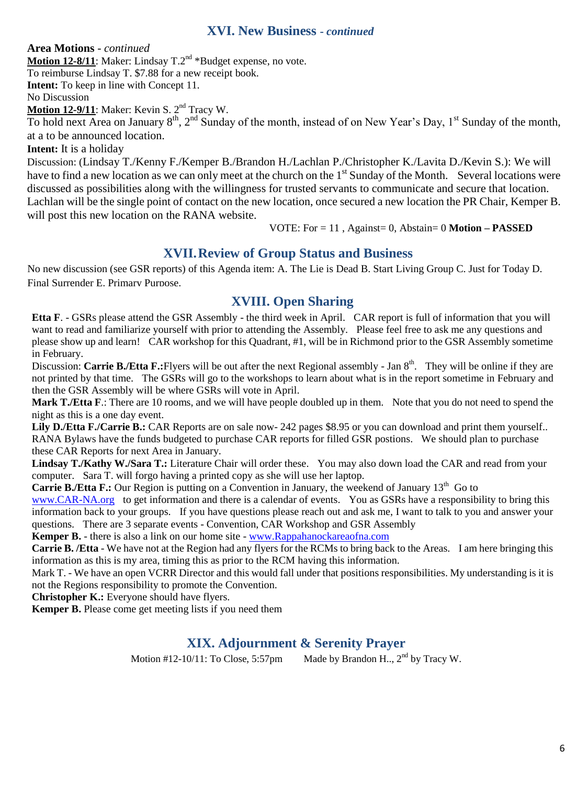### **XVI. New Business -** *continued*

**Area Motions** *- continued* **Motion 12-8/11**: Maker: Lindsay T.2<sup>nd</sup> \*Budget expense, no vote. To reimburse Lindsay T. \$7.88 for a new receipt book. **Intent:** To keep in line with Concept 11. No Discussion **Motion 12-9/11**: Maker: Kevin S. 2<sup>nd</sup> Tracy W. To hold next Area on January  $8^{th}$ ,  $2^{nd}$  Sunday of the month, instead of on New Year's Day, 1<sup>st</sup> Sunday of the month, at a to be announced location. **Intent:** It is a holiday Discussion: (Lindsay T./Kenny F./Kemper B./Brandon H./Lachlan P./Christopher K./Lavita D./Kevin S.): We will

have to find a new location as we can only meet at the church on the  $1<sup>st</sup>$  Sunday of the Month. Several locations were discussed as possibilities along with the willingness for trusted servants to communicate and secure that location. Lachlan will be the single point of contact on the new location, once secured a new location the PR Chair, Kemper B. will post this new location on the RANA website.

VOTE: For = 11 , Against= 0, Abstain= 0 **Motion – PASSED**

# **XVII.Review of Group Status and Business**

No new discussion (see GSR reports) of this Agenda item: A. The Lie is Dead B. Start Living Group C. Just for Today D. Final Surrender E. Primary Purpose.

# **XVIII. Open Sharing**

**Etta F**. - GSRs please attend the GSR Assembly - the third week in April. CAR report is full of information that you will want to read and familiarize yourself with prior to attending the Assembly. Please feel free to ask me any questions and please show up and learn! CAR workshop for this Quadrant, #1, will be in Richmond prior to the GSR Assembly sometime in February.

Discussion: **Carrie B./Etta F.:**Flyers will be out after the next Regional assembly - Jan 8<sup>th</sup>. They will be online if they are not printed by that time. The GSRs will go to the workshops to learn about what is in the report sometime in February and then the GSR Assembly will be where GSRs will vote in April.

**Mark T./Etta F**.: There are 10 rooms, and we will have people doubled up in them. Note that you do not need to spend the night as this is a one day event.

**Lily D./Etta F./Carrie B.:** CAR Reports are on sale now- 242 pages \$8.95 or you can download and print them yourself.. RANA Bylaws have the funds budgeted to purchase CAR reports for filled GSR postions. We should plan to purchase these CAR Reports for next Area in January.

**Lindsay T./Kathy W./Sara T.:** Literature Chair will order these. You may also down load the CAR and read from your computer. Sara T. will forgo having a printed copy as she will use her laptop.

**Carrie B./Etta F.:** Our Region is putting on a Convention in January, the weekend of January 13<sup>th</sup> Go to

[www.CAR-NA.org](http://www.car-na.org/) to get information and there is a calendar of events. You as GSRs have a responsibility to bring this information back to your groups. If you have questions please reach out and ask me, I want to talk to you and answer your questions. There are 3 separate events - Convention, CAR Workshop and GSR Assembly

**Kemper B.** - there is also a link on our home site - [www.Rappahanockareaofna.com](http://www.rappahanockareaofna.com/)

**Carrie B. /Etta** - We have not at the Region had any flyers for the RCMs to bring back to the Areas. I am here bringing this information as this is my area, timing this as prior to the RCM having this information.

Mark T. - We have an open VCRR Director and this would fall under that positions responsibilities. My understanding is it is not the Regions responsibility to promote the Convention.

**Christopher K.:** Everyone should have flyers.

**Kemper B.** Please come get meeting lists if you need them

# **XIX. Adjournment & Serenity Prayer**

Motion #12-10/11: To Close, 5:57pm Made by Brandon H..,  $2<sup>nd</sup>$  by Tracy W.